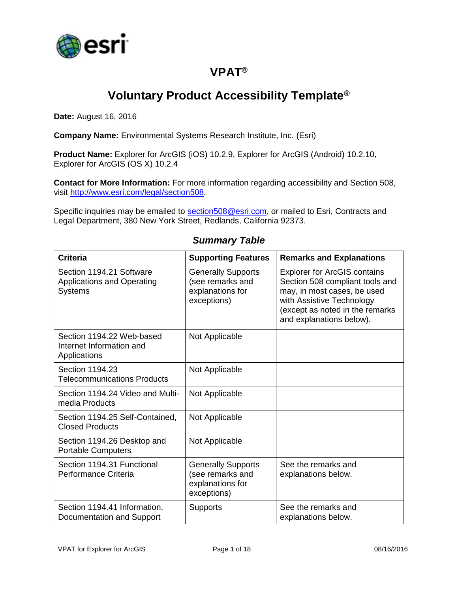

### **VPAT®**

# **Voluntary Product Accessibility Template®**

**Date:** August 16, 2016

**Company Name:** Environmental Systems Research Institute, Inc. (Esri)

**Product Name:** Explorer for ArcGIS (iOS) 10.2.9, Explorer for ArcGIS (Android) 10.2.10, Explorer for ArcGIS (OS X) 10.2.4

**Contact for More Information:** For more information regarding accessibility and Section 508, visit [http://www.esri.com/legal/section508.](http://www.esri.com/legal/section508)

Specific inquiries may be emailed to [section508@esri.com,](mailto:section508@esri.com) or mailed to Esri, Contracts and Legal Department, 380 New York Street, Redlands, California 92373.

| <b>Criteria</b>                                                          | <b>Supporting Features</b>                                                       | <b>Remarks and Explanations</b>                                                                                                                                                                   |
|--------------------------------------------------------------------------|----------------------------------------------------------------------------------|---------------------------------------------------------------------------------------------------------------------------------------------------------------------------------------------------|
| Section 1194.21 Software<br>Applications and Operating<br><b>Systems</b> | <b>Generally Supports</b><br>(see remarks and<br>explanations for<br>exceptions) | <b>Explorer for ArcGIS contains</b><br>Section 508 compliant tools and<br>may, in most cases, be used<br>with Assistive Technology<br>(except as noted in the remarks<br>and explanations below). |
| Section 1194.22 Web-based<br>Internet Information and<br>Applications    | Not Applicable                                                                   |                                                                                                                                                                                                   |
| Section 1194.23<br><b>Telecommunications Products</b>                    | Not Applicable                                                                   |                                                                                                                                                                                                   |
| Section 1194.24 Video and Multi-<br>media Products                       | Not Applicable                                                                   |                                                                                                                                                                                                   |
| Section 1194.25 Self-Contained,<br><b>Closed Products</b>                | Not Applicable                                                                   |                                                                                                                                                                                                   |
| Section 1194.26 Desktop and<br><b>Portable Computers</b>                 | Not Applicable                                                                   |                                                                                                                                                                                                   |
| Section 1194.31 Functional<br>Performance Criteria                       | <b>Generally Supports</b><br>(see remarks and<br>explanations for<br>exceptions) | See the remarks and<br>explanations below.                                                                                                                                                        |
| Section 1194.41 Information,<br>Documentation and Support                | <b>Supports</b>                                                                  | See the remarks and<br>explanations below.                                                                                                                                                        |

#### *Summary Table*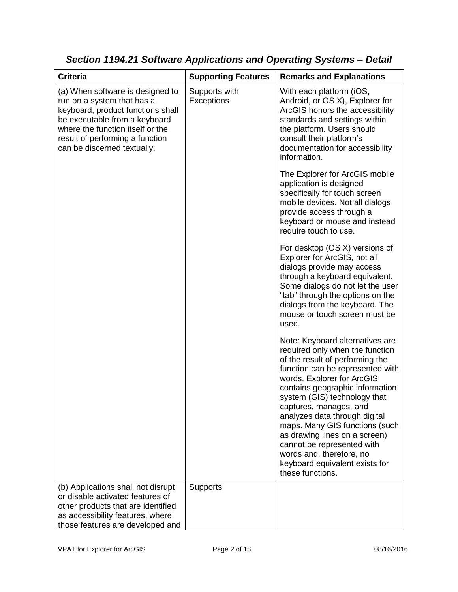| <b>Criteria</b>                                                                                                                                                                                                                            | <b>Supporting Features</b>  | <b>Remarks and Explanations</b>                                                                                                                                                                                                                                                                                                                                                                                                                                                          |
|--------------------------------------------------------------------------------------------------------------------------------------------------------------------------------------------------------------------------------------------|-----------------------------|------------------------------------------------------------------------------------------------------------------------------------------------------------------------------------------------------------------------------------------------------------------------------------------------------------------------------------------------------------------------------------------------------------------------------------------------------------------------------------------|
| (a) When software is designed to<br>run on a system that has a<br>keyboard, product functions shall<br>be executable from a keyboard<br>where the function itself or the<br>result of performing a function<br>can be discerned textually. | Supports with<br>Exceptions | With each platform (iOS,<br>Android, or OS X), Explorer for<br>ArcGIS honors the accessibility<br>standards and settings within<br>the platform. Users should<br>consult their platform's<br>documentation for accessibility<br>information.                                                                                                                                                                                                                                             |
|                                                                                                                                                                                                                                            |                             | The Explorer for ArcGIS mobile<br>application is designed<br>specifically for touch screen<br>mobile devices. Not all dialogs<br>provide access through a<br>keyboard or mouse and instead<br>require touch to use.                                                                                                                                                                                                                                                                      |
|                                                                                                                                                                                                                                            |                             | For desktop (OS X) versions of<br>Explorer for ArcGIS, not all<br>dialogs provide may access<br>through a keyboard equivalent.<br>Some dialogs do not let the user<br>"tab" through the options on the<br>dialogs from the keyboard. The<br>mouse or touch screen must be<br>used.                                                                                                                                                                                                       |
|                                                                                                                                                                                                                                            |                             | Note: Keyboard alternatives are<br>required only when the function<br>of the result of performing the<br>function can be represented with<br>words. Explorer for ArcGIS<br>contains geographic information<br>system (GIS) technology that<br>captures, manages, and<br>analyzes data through digital<br>maps. Many GIS functions (such<br>as drawing lines on a screen)<br>cannot be represented with<br>words and, therefore, no<br>keyboard equivalent exists for<br>these functions. |
| (b) Applications shall not disrupt<br>or disable activated features of<br>other products that are identified<br>as accessibility features, where<br>those features are developed and                                                       | Supports                    |                                                                                                                                                                                                                                                                                                                                                                                                                                                                                          |

*Section 1194.21 Software Applications and Operating Systems – Detail*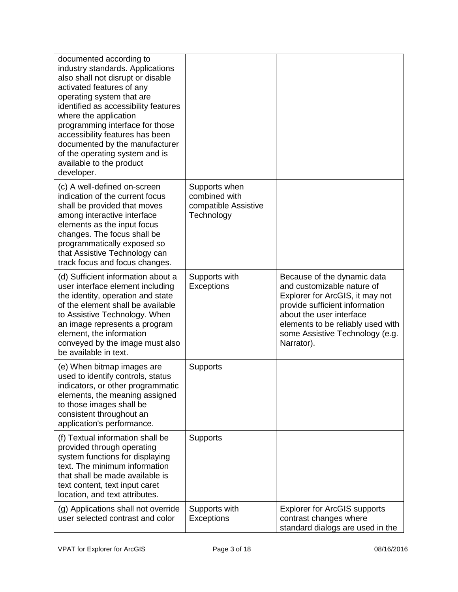| documented according to<br>industry standards. Applications<br>also shall not disrupt or disable<br>activated features of any<br>operating system that are<br>identified as accessibility features<br>where the application<br>programming interface for those<br>accessibility features has been<br>documented by the manufacturer<br>of the operating system and is<br>available to the product<br>developer. |                                                                      |                                                                                                                                                                                                                                                  |
|-----------------------------------------------------------------------------------------------------------------------------------------------------------------------------------------------------------------------------------------------------------------------------------------------------------------------------------------------------------------------------------------------------------------|----------------------------------------------------------------------|--------------------------------------------------------------------------------------------------------------------------------------------------------------------------------------------------------------------------------------------------|
| (c) A well-defined on-screen<br>indication of the current focus<br>shall be provided that moves<br>among interactive interface<br>elements as the input focus<br>changes. The focus shall be<br>programmatically exposed so<br>that Assistive Technology can<br>track focus and focus changes.                                                                                                                  | Supports when<br>combined with<br>compatible Assistive<br>Technology |                                                                                                                                                                                                                                                  |
| (d) Sufficient information about a<br>user interface element including<br>the identity, operation and state<br>of the element shall be available<br>to Assistive Technology. When<br>an image represents a program<br>element, the information<br>conveyed by the image must also<br>be available in text.                                                                                                      | Supports with<br>Exceptions                                          | Because of the dynamic data<br>and customizable nature of<br>Explorer for ArcGIS, it may not<br>provide sufficient information<br>about the user interface<br>elements to be reliably used with<br>some Assistive Technology (e.g.<br>Narrator). |
| (e) When bitmap images are<br>used to identify controls, status<br>indicators, or other programmatic<br>elements, the meaning assigned<br>to those images shall be<br>consistent throughout an<br>application's performance.                                                                                                                                                                                    | <b>Supports</b>                                                      |                                                                                                                                                                                                                                                  |
| (f) Textual information shall be<br>provided through operating<br>system functions for displaying<br>text. The minimum information<br>that shall be made available is<br>text content, text input caret<br>location, and text attributes.                                                                                                                                                                       | <b>Supports</b>                                                      |                                                                                                                                                                                                                                                  |
| (g) Applications shall not override<br>user selected contrast and color                                                                                                                                                                                                                                                                                                                                         | Supports with<br>Exceptions                                          | <b>Explorer for ArcGIS supports</b><br>contrast changes where<br>standard dialogs are used in the                                                                                                                                                |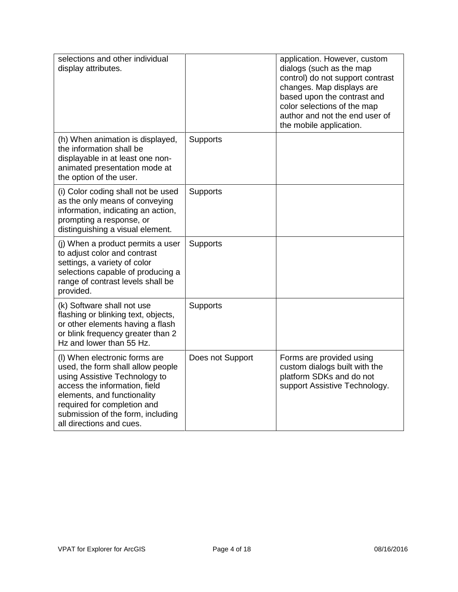| selections and other individual<br>display attributes.                                                                                                                                                                                                              |                  | application. However, custom<br>dialogs (such as the map<br>control) do not support contrast<br>changes. Map displays are<br>based upon the contrast and<br>color selections of the map<br>author and not the end user of<br>the mobile application. |
|---------------------------------------------------------------------------------------------------------------------------------------------------------------------------------------------------------------------------------------------------------------------|------------------|------------------------------------------------------------------------------------------------------------------------------------------------------------------------------------------------------------------------------------------------------|
| (h) When animation is displayed,<br>the information shall be<br>displayable in at least one non-<br>animated presentation mode at<br>the option of the user.                                                                                                        | Supports         |                                                                                                                                                                                                                                                      |
| (i) Color coding shall not be used<br>as the only means of conveying<br>information, indicating an action,<br>prompting a response, or<br>distinguishing a visual element.                                                                                          | <b>Supports</b>  |                                                                                                                                                                                                                                                      |
| (j) When a product permits a user<br>to adjust color and contrast<br>settings, a variety of color<br>selections capable of producing a<br>range of contrast levels shall be<br>provided.                                                                            | Supports         |                                                                                                                                                                                                                                                      |
| (k) Software shall not use<br>flashing or blinking text, objects,<br>or other elements having a flash<br>or blink frequency greater than 2<br>Hz and lower than 55 Hz.                                                                                              | Supports         |                                                                                                                                                                                                                                                      |
| (I) When electronic forms are<br>used, the form shall allow people<br>using Assistive Technology to<br>access the information, field<br>elements, and functionality<br>required for completion and<br>submission of the form, including<br>all directions and cues. | Does not Support | Forms are provided using<br>custom dialogs built with the<br>platform SDKs and do not<br>support Assistive Technology.                                                                                                                               |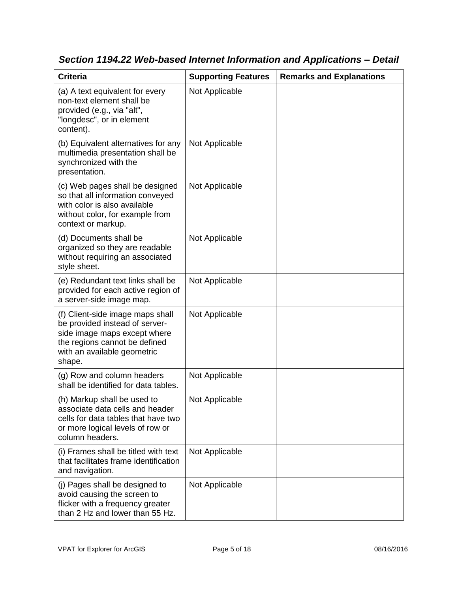| <b>Criteria</b>                                                                                                                                                              | <b>Supporting Features</b> | <b>Remarks and Explanations</b> |
|------------------------------------------------------------------------------------------------------------------------------------------------------------------------------|----------------------------|---------------------------------|
| (a) A text equivalent for every<br>non-text element shall be<br>provided (e.g., via "alt",<br>"longdesc", or in element<br>content).                                         | Not Applicable             |                                 |
| (b) Equivalent alternatives for any<br>multimedia presentation shall be<br>synchronized with the<br>presentation.                                                            | Not Applicable             |                                 |
| (c) Web pages shall be designed<br>so that all information conveyed<br>with color is also available<br>without color, for example from<br>context or markup.                 | Not Applicable             |                                 |
| (d) Documents shall be<br>organized so they are readable<br>without requiring an associated<br>style sheet.                                                                  | Not Applicable             |                                 |
| (e) Redundant text links shall be<br>provided for each active region of<br>a server-side image map.                                                                          | Not Applicable             |                                 |
| (f) Client-side image maps shall<br>be provided instead of server-<br>side image maps except where<br>the regions cannot be defined<br>with an available geometric<br>shape. | Not Applicable             |                                 |
| (g) Row and column headers<br>shall be identified for data tables.                                                                                                           | Not Applicable             |                                 |
| (h) Markup shall be used to<br>associate data cells and header<br>cells for data tables that have two<br>or more logical levels of row or<br>column headers.                 | Not Applicable             |                                 |
| (i) Frames shall be titled with text<br>that facilitates frame identification<br>and navigation.                                                                             | Not Applicable             |                                 |
| (j) Pages shall be designed to<br>avoid causing the screen to<br>flicker with a frequency greater<br>than 2 Hz and lower than 55 Hz.                                         | Not Applicable             |                                 |

*Section 1194.22 Web-based Internet Information and Applications – Detail*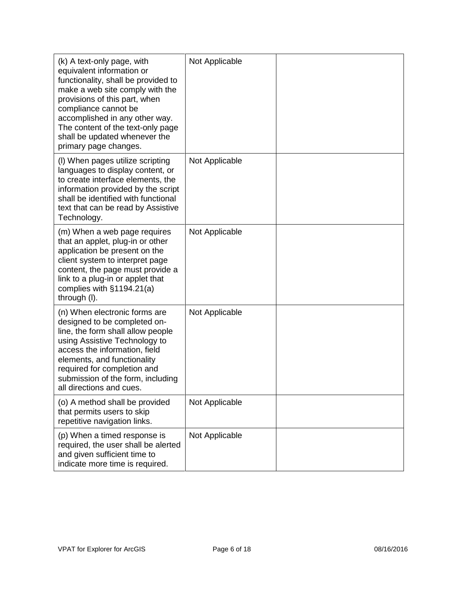| (k) A text-only page, with<br>equivalent information or<br>functionality, shall be provided to<br>make a web site comply with the<br>provisions of this part, when<br>compliance cannot be<br>accomplished in any other way.<br>The content of the text-only page<br>shall be updated whenever the<br>primary page changes. | Not Applicable |  |
|-----------------------------------------------------------------------------------------------------------------------------------------------------------------------------------------------------------------------------------------------------------------------------------------------------------------------------|----------------|--|
| (I) When pages utilize scripting<br>languages to display content, or<br>to create interface elements, the<br>information provided by the script<br>shall be identified with functional<br>text that can be read by Assistive<br>Technology.                                                                                 | Not Applicable |  |
| (m) When a web page requires<br>that an applet, plug-in or other<br>application be present on the<br>client system to interpret page<br>content, the page must provide a<br>link to a plug-in or applet that<br>complies with $§1194.21(a)$<br>through (I).                                                                 | Not Applicable |  |
| (n) When electronic forms are<br>designed to be completed on-<br>line, the form shall allow people<br>using Assistive Technology to<br>access the information, field<br>elements, and functionality<br>required for completion and<br>submission of the form, including<br>all directions and cues.                         | Not Applicable |  |
| (o) A method shall be provided<br>that permits users to skip<br>repetitive navigation links.                                                                                                                                                                                                                                | Not Applicable |  |
| (p) When a timed response is<br>required, the user shall be alerted<br>and given sufficient time to<br>indicate more time is required.                                                                                                                                                                                      | Not Applicable |  |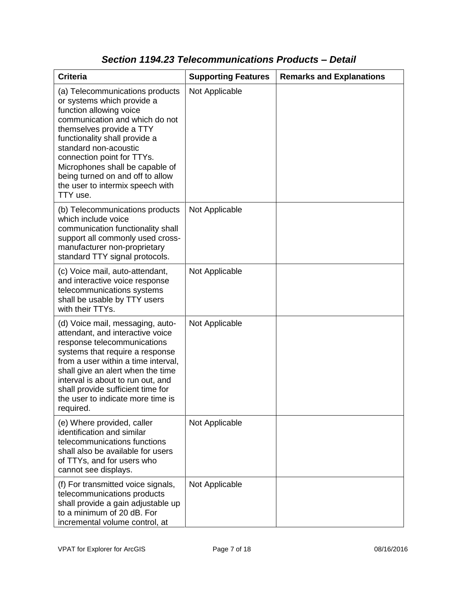| <b>Criteria</b>                                                                                                                                                                                                                                                                                                                                                       | <b>Supporting Features</b> | <b>Remarks and Explanations</b> |
|-----------------------------------------------------------------------------------------------------------------------------------------------------------------------------------------------------------------------------------------------------------------------------------------------------------------------------------------------------------------------|----------------------------|---------------------------------|
| (a) Telecommunications products<br>or systems which provide a<br>function allowing voice<br>communication and which do not<br>themselves provide a TTY<br>functionality shall provide a<br>standard non-acoustic<br>connection point for TTYs.<br>Microphones shall be capable of<br>being turned on and off to allow<br>the user to intermix speech with<br>TTY use. | Not Applicable             |                                 |
| (b) Telecommunications products<br>which include voice<br>communication functionality shall<br>support all commonly used cross-<br>manufacturer non-proprietary<br>standard TTY signal protocols.                                                                                                                                                                     | Not Applicable             |                                 |
| (c) Voice mail, auto-attendant,<br>and interactive voice response<br>telecommunications systems<br>shall be usable by TTY users<br>with their TTYs.                                                                                                                                                                                                                   | Not Applicable             |                                 |
| (d) Voice mail, messaging, auto-<br>attendant, and interactive voice<br>response telecommunications<br>systems that require a response<br>from a user within a time interval,<br>shall give an alert when the time<br>interval is about to run out, and<br>shall provide sufficient time for<br>the user to indicate more time is<br>required.                        | Not Applicable             |                                 |
| (e) Where provided, caller<br>identification and similar<br>telecommunications functions<br>shall also be available for users<br>of TTYs, and for users who<br>cannot see displays.                                                                                                                                                                                   | Not Applicable             |                                 |
| (f) For transmitted voice signals,<br>telecommunications products<br>shall provide a gain adjustable up<br>to a minimum of 20 dB. For<br>incremental volume control, at                                                                                                                                                                                               | Not Applicable             |                                 |

### *Section 1194.23 Telecommunications Products – Detail*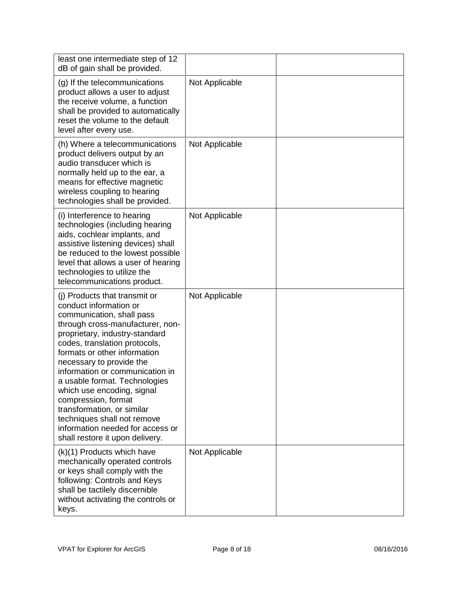| least one intermediate step of 12<br>dB of gain shall be provided.                                                                                                                                                                                                                                                                                                                                                                                                                                                   |                |  |
|----------------------------------------------------------------------------------------------------------------------------------------------------------------------------------------------------------------------------------------------------------------------------------------------------------------------------------------------------------------------------------------------------------------------------------------------------------------------------------------------------------------------|----------------|--|
| (g) If the telecommunications<br>product allows a user to adjust<br>the receive volume, a function<br>shall be provided to automatically<br>reset the volume to the default<br>level after every use.                                                                                                                                                                                                                                                                                                                | Not Applicable |  |
| (h) Where a telecommunications<br>product delivers output by an<br>audio transducer which is<br>normally held up to the ear, a<br>means for effective magnetic<br>wireless coupling to hearing<br>technologies shall be provided.                                                                                                                                                                                                                                                                                    | Not Applicable |  |
| (i) Interference to hearing<br>technologies (including hearing<br>aids, cochlear implants, and<br>assistive listening devices) shall<br>be reduced to the lowest possible<br>level that allows a user of hearing<br>technologies to utilize the<br>telecommunications product.                                                                                                                                                                                                                                       | Not Applicable |  |
| (i) Products that transmit or<br>conduct information or<br>communication, shall pass<br>through cross-manufacturer, non-<br>proprietary, industry-standard<br>codes, translation protocols,<br>formats or other information<br>necessary to provide the<br>information or communication in<br>a usable format. Technologies<br>which use encoding, signal<br>compression, format<br>transformation, or similar<br>techniques shall not remove<br>information needed for access or<br>shall restore it upon delivery. | Not Applicable |  |
| (k)(1) Products which have<br>mechanically operated controls<br>or keys shall comply with the<br>following: Controls and Keys<br>shall be tactilely discernible<br>without activating the controls or<br>keys.                                                                                                                                                                                                                                                                                                       | Not Applicable |  |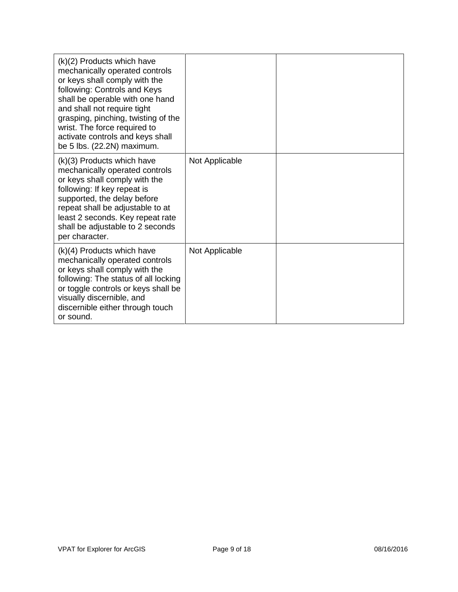| (k)(2) Products which have<br>mechanically operated controls<br>or keys shall comply with the<br>following: Controls and Keys<br>shall be operable with one hand<br>and shall not require tight<br>grasping, pinching, twisting of the<br>wrist. The force required to<br>activate controls and keys shall<br>be 5 lbs. (22.2N) maximum. |                |  |
|------------------------------------------------------------------------------------------------------------------------------------------------------------------------------------------------------------------------------------------------------------------------------------------------------------------------------------------|----------------|--|
| (k)(3) Products which have<br>mechanically operated controls<br>or keys shall comply with the<br>following: If key repeat is<br>supported, the delay before<br>repeat shall be adjustable to at<br>least 2 seconds. Key repeat rate<br>shall be adjustable to 2 seconds<br>per character.                                                | Not Applicable |  |
| $(k)(4)$ Products which have<br>mechanically operated controls<br>or keys shall comply with the<br>following: The status of all locking<br>or toggle controls or keys shall be<br>visually discernible, and<br>discernible either through touch<br>or sound.                                                                             | Not Applicable |  |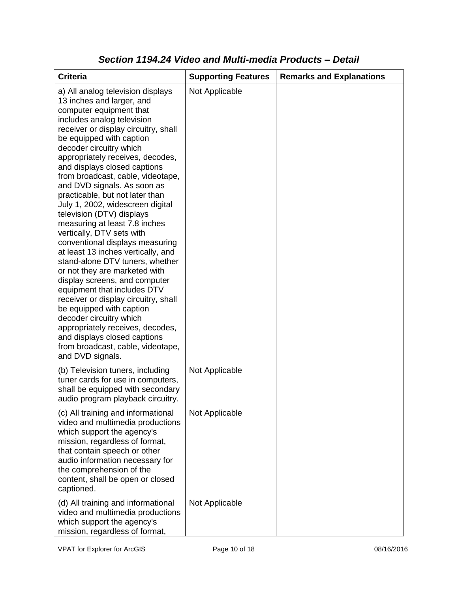| <b>Criteria</b>                                                                                                                                                                                                                                                                                                                                                                                                                                                                                                                                                                                                                                                                                                                                                                                                                                                                                                                                                           | <b>Supporting Features</b> | <b>Remarks and Explanations</b> |
|---------------------------------------------------------------------------------------------------------------------------------------------------------------------------------------------------------------------------------------------------------------------------------------------------------------------------------------------------------------------------------------------------------------------------------------------------------------------------------------------------------------------------------------------------------------------------------------------------------------------------------------------------------------------------------------------------------------------------------------------------------------------------------------------------------------------------------------------------------------------------------------------------------------------------------------------------------------------------|----------------------------|---------------------------------|
| a) All analog television displays<br>13 inches and larger, and<br>computer equipment that<br>includes analog television<br>receiver or display circuitry, shall<br>be equipped with caption<br>decoder circuitry which<br>appropriately receives, decodes,<br>and displays closed captions<br>from broadcast, cable, videotape,<br>and DVD signals. As soon as<br>practicable, but not later than<br>July 1, 2002, widescreen digital<br>television (DTV) displays<br>measuring at least 7.8 inches<br>vertically, DTV sets with<br>conventional displays measuring<br>at least 13 inches vertically, and<br>stand-alone DTV tuners, whether<br>or not they are marketed with<br>display screens, and computer<br>equipment that includes DTV<br>receiver or display circuitry, shall<br>be equipped with caption<br>decoder circuitry which<br>appropriately receives, decodes,<br>and displays closed captions<br>from broadcast, cable, videotape,<br>and DVD signals. | Not Applicable             |                                 |
| (b) Television tuners, including<br>tuner cards for use in computers,<br>shall be equipped with secondary<br>audio program playback circuitry.                                                                                                                                                                                                                                                                                                                                                                                                                                                                                                                                                                                                                                                                                                                                                                                                                            | Not Applicable             |                                 |
| (c) All training and informational<br>video and multimedia productions<br>which support the agency's<br>mission, regardless of format,<br>that contain speech or other<br>audio information necessary for<br>the comprehension of the<br>content, shall be open or closed<br>captioned.                                                                                                                                                                                                                                                                                                                                                                                                                                                                                                                                                                                                                                                                                   | Not Applicable             |                                 |
| (d) All training and informational<br>video and multimedia productions<br>which support the agency's<br>mission, regardless of format,                                                                                                                                                                                                                                                                                                                                                                                                                                                                                                                                                                                                                                                                                                                                                                                                                                    | Not Applicable             |                                 |

### *Section 1194.24 Video and Multi-media Products – Detail*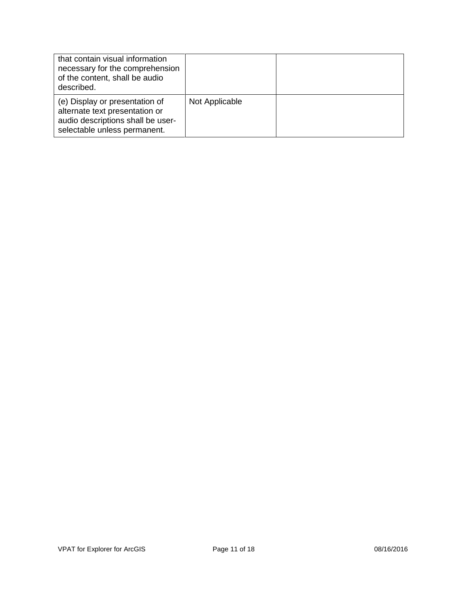| that contain visual information<br>necessary for the comprehension<br>of the content, shall be audio<br>described.                    |                |  |
|---------------------------------------------------------------------------------------------------------------------------------------|----------------|--|
| (e) Display or presentation of<br>alternate text presentation or<br>audio descriptions shall be user-<br>selectable unless permanent. | Not Applicable |  |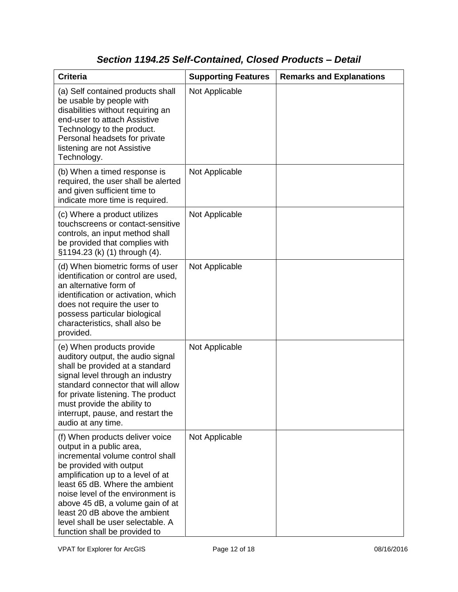## *Section 1194.25 Self-Contained, Closed Products – Detail*

| <b>Criteria</b>                                                                                                                                                                                                                                                                                                                                                                   | <b>Supporting Features</b> | <b>Remarks and Explanations</b> |
|-----------------------------------------------------------------------------------------------------------------------------------------------------------------------------------------------------------------------------------------------------------------------------------------------------------------------------------------------------------------------------------|----------------------------|---------------------------------|
| (a) Self contained products shall<br>be usable by people with<br>disabilities without requiring an<br>end-user to attach Assistive<br>Technology to the product.<br>Personal headsets for private<br>listening are not Assistive<br>Technology.                                                                                                                                   | Not Applicable             |                                 |
| (b) When a timed response is<br>required, the user shall be alerted<br>and given sufficient time to<br>indicate more time is required.                                                                                                                                                                                                                                            | Not Applicable             |                                 |
| (c) Where a product utilizes<br>touchscreens or contact-sensitive<br>controls, an input method shall<br>be provided that complies with<br>§1194.23 (k) (1) through (4).                                                                                                                                                                                                           | Not Applicable             |                                 |
| (d) When biometric forms of user<br>identification or control are used,<br>an alternative form of<br>identification or activation, which<br>does not require the user to<br>possess particular biological<br>characteristics, shall also be<br>provided.                                                                                                                          | Not Applicable             |                                 |
| (e) When products provide<br>auditory output, the audio signal<br>shall be provided at a standard<br>signal level through an industry<br>standard connector that will allow<br>for private listening. The product<br>must provide the ability to<br>interrupt, pause, and restart the<br>audio at any time.                                                                       | Not Applicable             |                                 |
| (f) When products deliver voice<br>output in a public area,<br>incremental volume control shall<br>be provided with output<br>amplification up to a level of at<br>least 65 dB. Where the ambient<br>noise level of the environment is<br>above 45 dB, a volume gain of at<br>least 20 dB above the ambient<br>level shall be user selectable. A<br>function shall be provided to | Not Applicable             |                                 |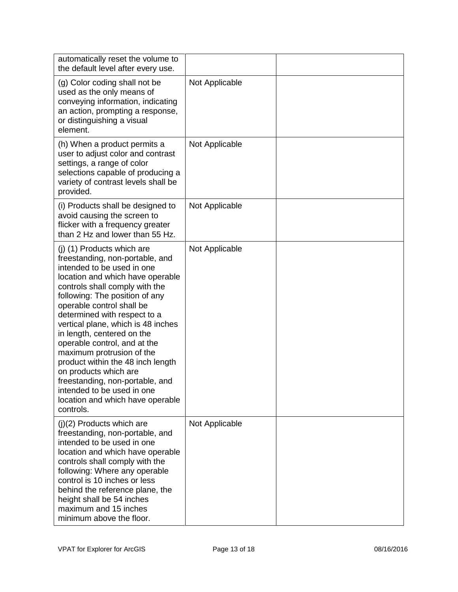| automatically reset the volume to<br>the default level after every use.                                                                                                                                                                                                                                                                                                                                                                                                                                                                                                           |                |  |
|-----------------------------------------------------------------------------------------------------------------------------------------------------------------------------------------------------------------------------------------------------------------------------------------------------------------------------------------------------------------------------------------------------------------------------------------------------------------------------------------------------------------------------------------------------------------------------------|----------------|--|
| (g) Color coding shall not be<br>used as the only means of<br>conveying information, indicating<br>an action, prompting a response,<br>or distinguishing a visual<br>element.                                                                                                                                                                                                                                                                                                                                                                                                     | Not Applicable |  |
| (h) When a product permits a<br>user to adjust color and contrast<br>settings, a range of color<br>selections capable of producing a<br>variety of contrast levels shall be<br>provided.                                                                                                                                                                                                                                                                                                                                                                                          | Not Applicable |  |
| (i) Products shall be designed to<br>avoid causing the screen to<br>flicker with a frequency greater<br>than 2 Hz and lower than 55 Hz.                                                                                                                                                                                                                                                                                                                                                                                                                                           | Not Applicable |  |
| (j) (1) Products which are<br>freestanding, non-portable, and<br>intended to be used in one<br>location and which have operable<br>controls shall comply with the<br>following: The position of any<br>operable control shall be<br>determined with respect to a<br>vertical plane, which is 48 inches<br>in length, centered on the<br>operable control, and at the<br>maximum protrusion of the<br>product within the 48 inch length<br>on products which are<br>freestanding, non-portable, and<br>intended to be used in one<br>location and which have operable<br>controls. | Not Applicable |  |
| $(j)(2)$ Products which are<br>freestanding, non-portable, and<br>intended to be used in one<br>location and which have operable<br>controls shall comply with the<br>following: Where any operable<br>control is 10 inches or less<br>behind the reference plane, the<br>height shall be 54 inches<br>maximum and 15 inches<br>minimum above the floor.                                                                                                                                                                                                                          | Not Applicable |  |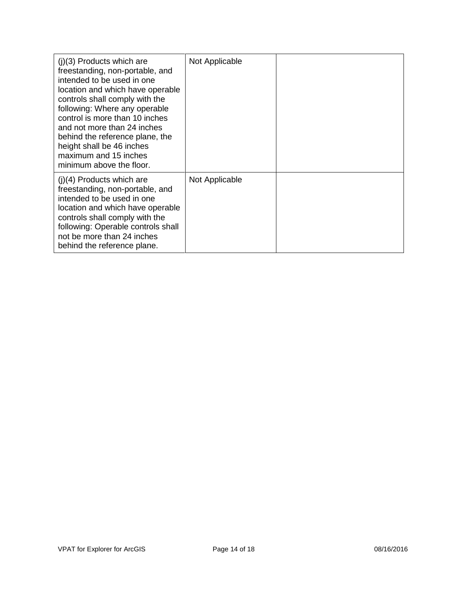| $(i)(3)$ Products which are<br>freestanding, non-portable, and<br>intended to be used in one<br>location and which have operable<br>controls shall comply with the<br>following: Where any operable<br>control is more than 10 inches<br>and not more than 24 inches<br>behind the reference plane, the<br>height shall be 46 inches<br>maximum and 15 inches<br>minimum above the floor. | Not Applicable |  |
|-------------------------------------------------------------------------------------------------------------------------------------------------------------------------------------------------------------------------------------------------------------------------------------------------------------------------------------------------------------------------------------------|----------------|--|
| $(i)(4)$ Products which are<br>freestanding, non-portable, and<br>intended to be used in one<br>location and which have operable<br>controls shall comply with the<br>following: Operable controls shall<br>not be more than 24 inches<br>behind the reference plane.                                                                                                                     | Not Applicable |  |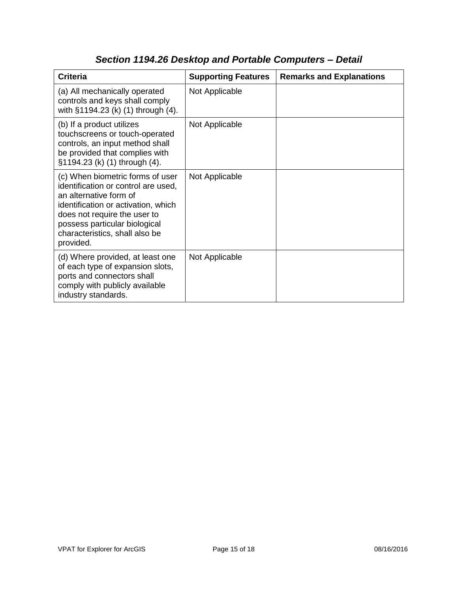| <b>Criteria</b>                                                                                                                                                                                                                                          | <b>Supporting Features</b> | <b>Remarks and Explanations</b> |
|----------------------------------------------------------------------------------------------------------------------------------------------------------------------------------------------------------------------------------------------------------|----------------------------|---------------------------------|
| (a) All mechanically operated<br>controls and keys shall comply<br>with §1194.23 (k) (1) through (4).                                                                                                                                                    | Not Applicable             |                                 |
| (b) If a product utilizes<br>touchscreens or touch-operated<br>controls, an input method shall<br>be provided that complies with<br>§1194.23 (k) (1) through (4).                                                                                        | Not Applicable             |                                 |
| (c) When biometric forms of user<br>identification or control are used,<br>an alternative form of<br>identification or activation, which<br>does not require the user to<br>possess particular biological<br>characteristics, shall also be<br>provided. | Not Applicable             |                                 |
| (d) Where provided, at least one<br>of each type of expansion slots,<br>ports and connectors shall<br>comply with publicly available<br>industry standards.                                                                                              | Not Applicable             |                                 |

## *Section 1194.26 Desktop and Portable Computers – Detail*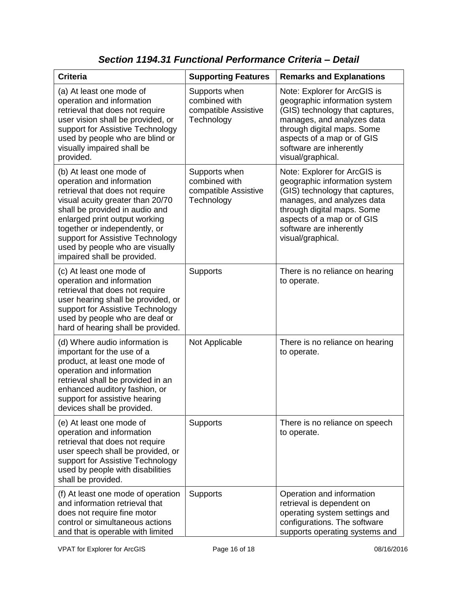| <b>Criteria</b>                                                                                                                                                                                                                                                                                                                        | <b>Supporting Features</b>                                           | <b>Remarks and Explanations</b>                                                                                                                                                                                                            |
|----------------------------------------------------------------------------------------------------------------------------------------------------------------------------------------------------------------------------------------------------------------------------------------------------------------------------------------|----------------------------------------------------------------------|--------------------------------------------------------------------------------------------------------------------------------------------------------------------------------------------------------------------------------------------|
| (a) At least one mode of<br>operation and information<br>retrieval that does not require<br>user vision shall be provided, or<br>support for Assistive Technology<br>used by people who are blind or<br>visually impaired shall be<br>provided.                                                                                        | Supports when<br>combined with<br>compatible Assistive<br>Technology | Note: Explorer for ArcGIS is<br>geographic information system<br>(GIS) technology that captures,<br>manages, and analyzes data<br>through digital maps. Some<br>aspects of a map or of GIS<br>software are inherently<br>visual/graphical. |
| (b) At least one mode of<br>operation and information<br>retrieval that does not require<br>visual acuity greater than 20/70<br>shall be provided in audio and<br>enlarged print output working<br>together or independently, or<br>support for Assistive Technology<br>used by people who are visually<br>impaired shall be provided. | Supports when<br>combined with<br>compatible Assistive<br>Technology | Note: Explorer for ArcGIS is<br>geographic information system<br>(GIS) technology that captures,<br>manages, and analyzes data<br>through digital maps. Some<br>aspects of a map or of GIS<br>software are inherently<br>visual/graphical. |
| (c) At least one mode of<br>operation and information<br>retrieval that does not require<br>user hearing shall be provided, or<br>support for Assistive Technology<br>used by people who are deaf or<br>hard of hearing shall be provided.                                                                                             | <b>Supports</b>                                                      | There is no reliance on hearing<br>to operate.                                                                                                                                                                                             |
| (d) Where audio information is<br>important for the use of a<br>product, at least one mode of<br>operation and information<br>retrieval shall be provided in an<br>enhanced auditory fashion, or<br>support for assistive hearing<br>devices shall be provided.                                                                        | Not Applicable                                                       | There is no reliance on hearing<br>to operate.                                                                                                                                                                                             |
| (e) At least one mode of<br>operation and information<br>retrieval that does not require<br>user speech shall be provided, or<br>support for Assistive Technology<br>used by people with disabilities<br>shall be provided.                                                                                                            | Supports                                                             | There is no reliance on speech<br>to operate.                                                                                                                                                                                              |
| (f) At least one mode of operation<br>and information retrieval that<br>does not require fine motor<br>control or simultaneous actions<br>and that is operable with limited                                                                                                                                                            | Supports                                                             | Operation and information<br>retrieval is dependent on<br>operating system settings and<br>configurations. The software<br>supports operating systems and                                                                                  |

*Section 1194.31 Functional Performance Criteria – Detail*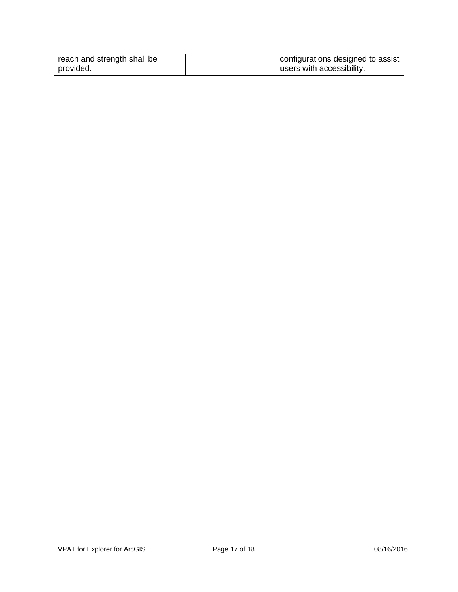| reach and strength shall be | configurations designed to assist |
|-----------------------------|-----------------------------------|
| provided.                   | users with accessibility.         |